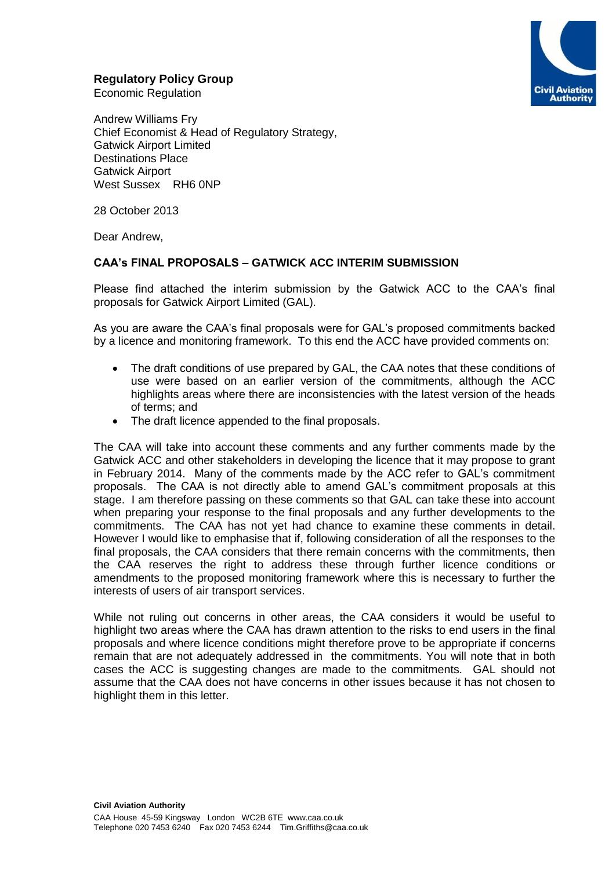# **Regulatory Policy Group**



Economic Regulation

Andrew Williams Fry Chief Economist & Head of Regulatory Strategy, Gatwick Airport Limited Destinations Place Gatwick Airport West Sussex RH6 0NP

28 October 2013

Dear Andrew,

## **CAA's FINAL PROPOSALS – GATWICK ACC INTERIM SUBMISSION**

Please find attached the interim submission by the Gatwick ACC to the CAA's final proposals for Gatwick Airport Limited (GAL).

As you are aware the CAA's final proposals were for GAL's proposed commitments backed by a licence and monitoring framework. To this end the ACC have provided comments on:

- The draft conditions of use prepared by GAL, the CAA notes that these conditions of use were based on an earlier version of the commitments, although the ACC highlights areas where there are inconsistencies with the latest version of the heads of terms; and
- The draft licence appended to the final proposals.

The CAA will take into account these comments and any further comments made by the Gatwick ACC and other stakeholders in developing the licence that it may propose to grant in February 2014. Many of the comments made by the ACC refer to GAL's commitment proposals. The CAA is not directly able to amend GAL's commitment proposals at this stage. I am therefore passing on these comments so that GAL can take these into account when preparing your response to the final proposals and any further developments to the commitments. The CAA has not yet had chance to examine these comments in detail. However I would like to emphasise that if, following consideration of all the responses to the final proposals, the CAA considers that there remain concerns with the commitments, then the CAA reserves the right to address these through further licence conditions or amendments to the proposed monitoring framework where this is necessary to further the interests of users of air transport services.

While not ruling out concerns in other areas, the CAA considers it would be useful to highlight two areas where the CAA has drawn attention to the risks to end users in the final proposals and where licence conditions might therefore prove to be appropriate if concerns remain that are not adequately addressed in the commitments. You will note that in both cases the ACC is suggesting changes are made to the commitments. GAL should not assume that the CAA does not have concerns in other issues because it has not chosen to highlight them in this letter.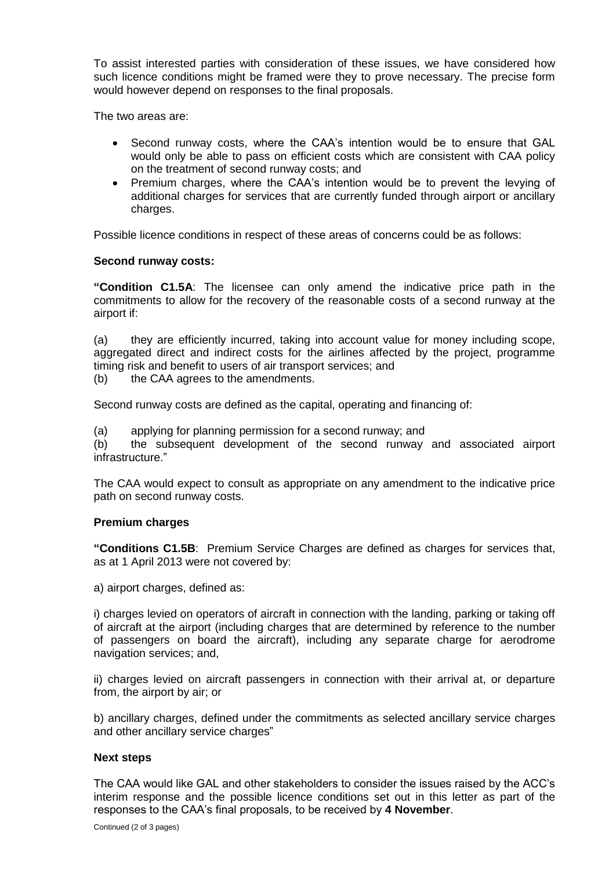To assist interested parties with consideration of these issues, we have considered how such licence conditions might be framed were they to prove necessary. The precise form would however depend on responses to the final proposals.

The two areas are:

- Second runway costs, where the CAA's intention would be to ensure that GAL would only be able to pass on efficient costs which are consistent with CAA policy on the treatment of second runway costs; and
- Premium charges, where the CAA's intention would be to prevent the levying of additional charges for services that are currently funded through airport or ancillary charges.

Possible licence conditions in respect of these areas of concerns could be as follows:

## **Second runway costs:**

**"Condition C1.5A**: The licensee can only amend the indicative price path in the commitments to allow for the recovery of the reasonable costs of a second runway at the airport if:

(a) they are efficiently incurred, taking into account value for money including scope, aggregated direct and indirect costs for the airlines affected by the project, programme timing risk and benefit to users of air transport services; and

(b) the CAA agrees to the amendments.

Second runway costs are defined as the capital, operating and financing of:

(a) applying for planning permission for a second runway; and

(b) the subsequent development of the second runway and associated airport infrastructure."

The CAA would expect to consult as appropriate on any amendment to the indicative price path on second runway costs.

### **Premium charges**

**"Conditions C1.5B**: Premium Service Charges are defined as charges for services that, as at 1 April 2013 were not covered by:

a) airport charges, defined as:

i) charges levied on operators of aircraft in connection with the landing, parking or taking off of aircraft at the airport (including charges that are determined by reference to the number of passengers on board the aircraft), including any separate charge for aerodrome navigation services; and,

ii) charges levied on aircraft passengers in connection with their arrival at, or departure from, the airport by air; or

b) ancillary charges, defined under the commitments as selected ancillary service charges and other ancillary service charges"

### **Next steps**

The CAA would like GAL and other stakeholders to consider the issues raised by the ACC's interim response and the possible licence conditions set out in this letter as part of the responses to the CAA's final proposals, to be received by **4 November**.